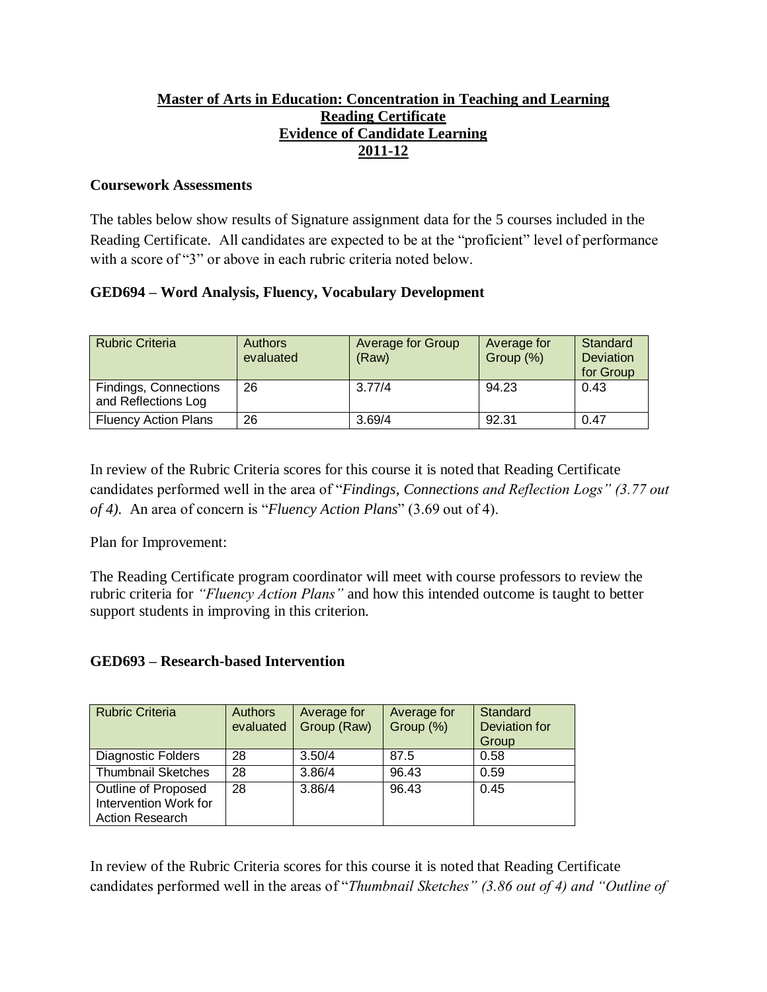## **Master of Arts in Education: Concentration in Teaching and Learning Reading Certificate Evidence of Candidate Learning 2011-12**

#### **Coursework Assessments**

The tables below show results of Signature assignment data for the 5 courses included in the Reading Certificate. All candidates are expected to be at the "proficient" level of performance with a score of "3" or above in each rubric criteria noted below.

## **GED694 – Word Analysis, Fluency, Vocabulary Development**

| <b>Rubric Criteria</b>                       | <b>Authors</b><br>evaluated | <b>Average for Group</b><br>(Raw) | Average for<br>Group (%) | Standard<br><b>Deviation</b><br>for Group |
|----------------------------------------------|-----------------------------|-----------------------------------|--------------------------|-------------------------------------------|
| Findings, Connections<br>and Reflections Log | 26                          | 3.77/4                            | 94.23                    | 0.43                                      |
| <b>Fluency Action Plans</b>                  | 26                          | 3.69/4                            | 92.31                    | 0.47                                      |

In review of the Rubric Criteria scores for this course it is noted that Reading Certificate candidates performed well in the area of "*Findings, Connections and Reflection Logs" (3.77 out of 4).* An area of concern is "*Fluency Action Plans*" (3.69 out of 4).

Plan for Improvement:

The Reading Certificate program coordinator will meet with course professors to review the rubric criteria for *"Fluency Action Plans"* and how this intended outcome is taught to better support students in improving in this criterion.

# **GED693 – Research-based Intervention**

| <b>Rubric Criteria</b>                                                 | <b>Authors</b><br>evaluated | Average for<br>Group (Raw) | Average for<br>Group (%) | Standard<br><b>Deviation for</b><br>Group |
|------------------------------------------------------------------------|-----------------------------|----------------------------|--------------------------|-------------------------------------------|
| Diagnostic Folders                                                     | 28                          | 3.50/4                     | 87.5                     | 0.58                                      |
| <b>Thumbnail Sketches</b>                                              | 28                          | 3.86/4                     | 96.43                    | 0.59                                      |
| Outline of Proposed<br>Intervention Work for<br><b>Action Research</b> | 28                          | 3.86/4                     | 96.43                    | 0.45                                      |

In review of the Rubric Criteria scores for this course it is noted that Reading Certificate candidates performed well in the areas of "*Thumbnail Sketches" (3.86 out of 4) and "Outline of*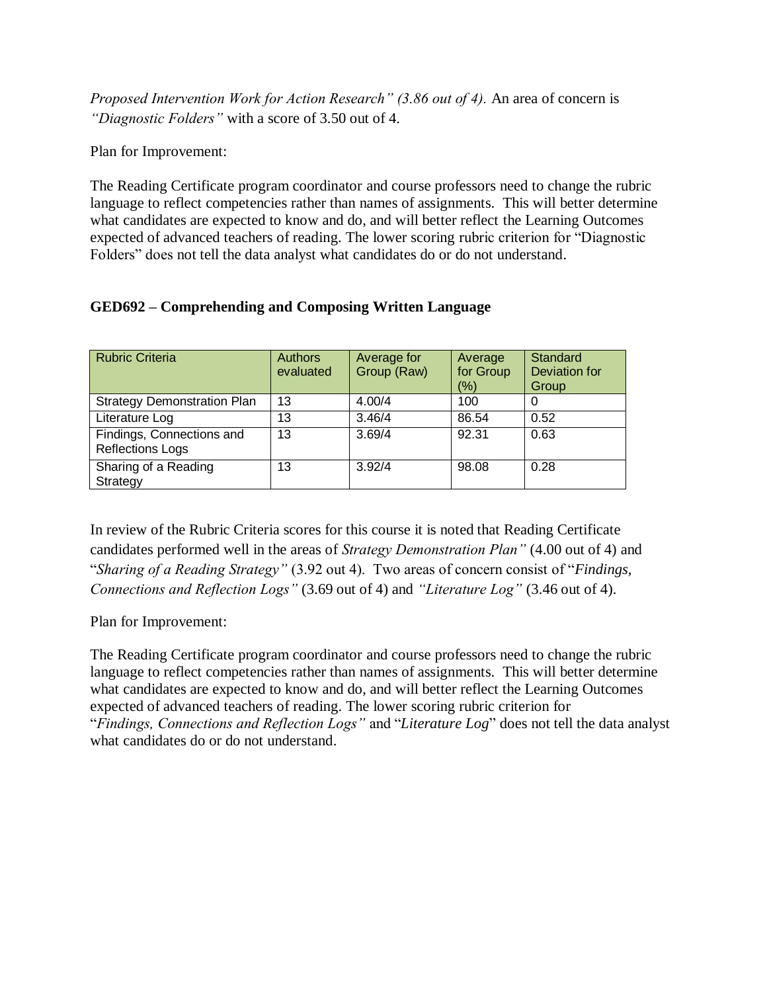*Proposed Intervention Work for Action Research" (3.86 out of 4).* An area of concern is *"Diagnostic Folders"* with a score of 3.50 out of 4.

Plan for Improvement:

The Reading Certificate program coordinator and course professors need to change the rubric language to reflect competencies rather than names of assignments. This will better determine what candidates are expected to know and do, and will better reflect the Learning Outcomes expected of advanced teachers of reading. The lower scoring rubric criterion for "Diagnostic Folders" does not tell the data analyst what candidates do or do not understand.

|  | <b>GED692 – Comprehending and Composing Written Language</b> |  |
|--|--------------------------------------------------------------|--|
|  |                                                              |  |

| <b>Rubric Criteria</b>                               | <b>Authors</b><br>evaluated | Average for<br>Group (Raw) | Average<br>for Group<br>(%) | Standard<br>Deviation for<br>Group |
|------------------------------------------------------|-----------------------------|----------------------------|-----------------------------|------------------------------------|
| <b>Strategy Demonstration Plan</b>                   | 13                          | 4.00/4                     | 100                         | U                                  |
| Literature Log                                       | 13                          | 3.46/4                     | 86.54                       | 0.52                               |
| Findings, Connections and<br><b>Reflections Logs</b> | 13                          | 3.69/4                     | 92.31                       | 0.63                               |
| Sharing of a Reading<br>Strategy                     | 13                          | 3.92/4                     | 98.08                       | 0.28                               |

In review of the Rubric Criteria scores for this course it is noted that Reading Certificate candidates performed well in the areas of *Strategy Demonstration Plan"* (4.00 out of 4) and "*Sharing of a Reading Strategy"* (3.92 out 4). Two areas of concern consist of "*Findings, Connections and Reflection Logs"* (3.69 out of 4) and *"Literature Log"* (3.46 out of 4).

Plan for Improvement:

The Reading Certificate program coordinator and course professors need to change the rubric language to reflect competencies rather than names of assignments. This will better determine what candidates are expected to know and do, and will better reflect the Learning Outcomes expected of advanced teachers of reading. The lower scoring rubric criterion for "*Findings, Connections and Reflection Logs"* and "*Literature Log*" does not tell the data analyst what candidates do or do not understand.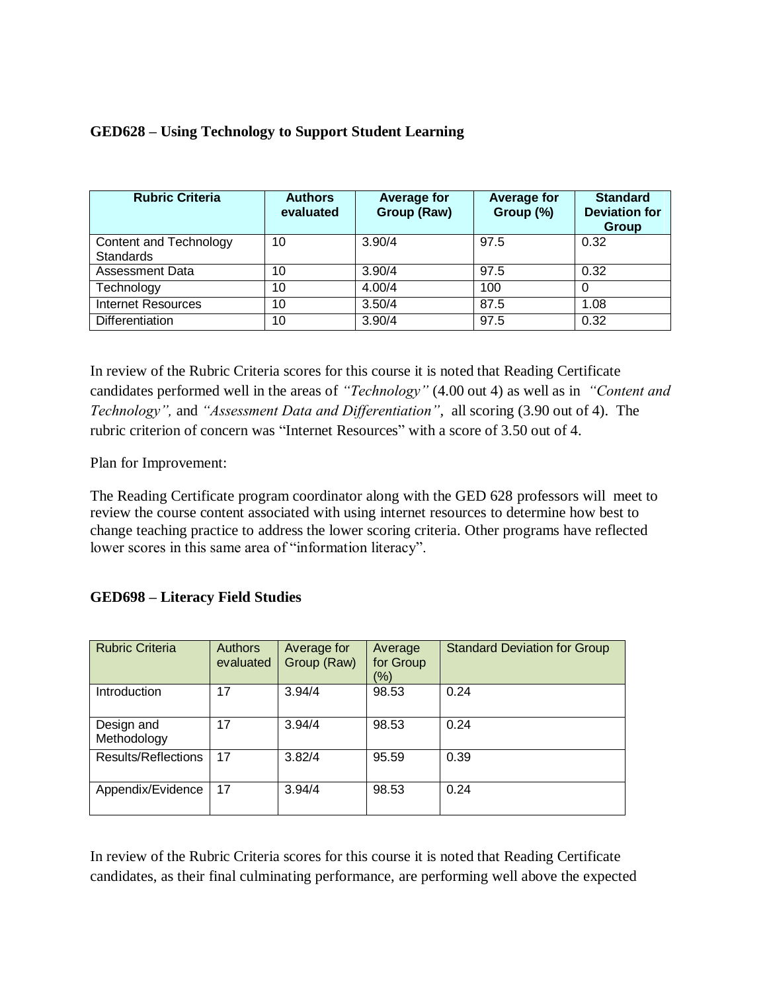|  | <b>GED628 - Using Technology to Support Student Learning</b> |  |  |
|--|--------------------------------------------------------------|--|--|
|  |                                                              |  |  |

| <b>Rubric Criteria</b>                     | <b>Authors</b><br>evaluated | Average for<br>Group (Raw) | <b>Average for</b><br>Group (%) | <b>Standard</b><br><b>Deviation for</b><br>Group |
|--------------------------------------------|-----------------------------|----------------------------|---------------------------------|--------------------------------------------------|
| Content and Technology<br><b>Standards</b> | 10                          | 3.90/4                     | 97.5                            | 0.32                                             |
| <b>Assessment Data</b>                     | 10                          | 3.90/4                     | 97.5                            | 0.32                                             |
| Technology                                 | 10                          | 4.00/4                     | 100                             |                                                  |
| <b>Internet Resources</b>                  | 10                          | 3.50/4                     | 87.5                            | 1.08                                             |
| <b>Differentiation</b>                     | 10                          | 3.90/4                     | 97.5                            | 0.32                                             |

In review of the Rubric Criteria scores for this course it is noted that Reading Certificate candidates performed well in the areas of *"Technology"* (4.00 out 4) as well as in *"Content and Technology",* and *"Assessment Data and Differentiation",* all scoring (3.90 out of 4). The rubric criterion of concern was "Internet Resources" with a score of 3.50 out of 4.

Plan for Improvement:

The Reading Certificate program coordinator along with the GED 628 professors will meet to review the course content associated with using internet resources to determine how best to change teaching practice to address the lower scoring criteria. Other programs have reflected lower scores in this same area of "information literacy".

| <b>Rubric Criteria</b>     | <b>Authors</b><br>evaluated | Average for<br>Group (Raw) | Average<br>for Group<br>$(\% )$ | <b>Standard Deviation for Group</b> |
|----------------------------|-----------------------------|----------------------------|---------------------------------|-------------------------------------|
| Introduction               | 17                          | 3.94/4                     | 98.53                           | 0.24                                |
| Design and<br>Methodology  | 17                          | 3.94/4                     | 98.53                           | 0.24                                |
| <b>Results/Reflections</b> | 17                          | 3.82/4                     | 95.59                           | 0.39                                |
| Appendix/Evidence          | 17                          | 3.94/4                     | 98.53                           | 0.24                                |

In review of the Rubric Criteria scores for this course it is noted that Reading Certificate candidates, as their final culminating performance, are performing well above the expected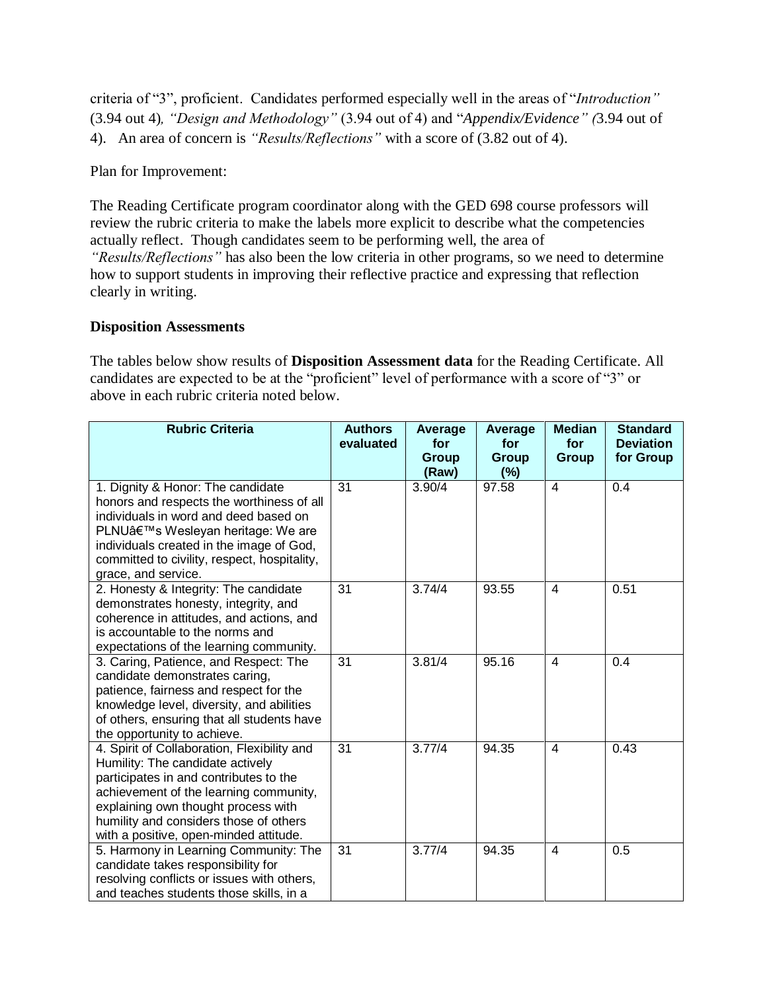criteria of "3", proficient. Candidates performed especially well in the areas of "*Introduction"*  (3.94 out 4)*, "Design and Methodology"* (3.94 out of 4) and "*Appendix/Evidence" (*3.94 out of 4). An area of concern is *"Results/Reflections"* with a score of (3.82 out of 4).

Plan for Improvement:

The Reading Certificate program coordinator along with the GED 698 course professors will review the rubric criteria to make the labels more explicit to describe what the competencies actually reflect. Though candidates seem to be performing well, the area of *"Results/Reflections"* has also been the low criteria in other programs, so we need to determine how to support students in improving their reflective practice and expressing that reflection clearly in writing.

#### **Disposition Assessments**

The tables below show results of **Disposition Assessment data** for the Reading Certificate. All candidates are expected to be at the "proficient" level of performance with a score of "3" or above in each rubric criteria noted below.

| <b>Rubric Criteria</b>                                                                   | <b>Authors</b><br>evaluated | Average<br>for<br>Group | Average<br>for<br>Group | <b>Median</b><br>for<br>Group | <b>Standard</b><br><b>Deviation</b><br>for Group |
|------------------------------------------------------------------------------------------|-----------------------------|-------------------------|-------------------------|-------------------------------|--------------------------------------------------|
|                                                                                          |                             | (Raw)                   | (%)                     |                               |                                                  |
| 1. Dignity & Honor: The candidate                                                        | 31                          | 3.90/4                  | 97.58                   | $\overline{4}$                | 0.4                                              |
| honors and respects the worthiness of all                                                |                             |                         |                         |                               |                                                  |
| individuals in word and deed based on                                                    |                             |                         |                         |                               |                                                  |
| PLNU's Wesleyan heritage: We are                                                         |                             |                         |                         |                               |                                                  |
| individuals created in the image of God,<br>committed to civility, respect, hospitality, |                             |                         |                         |                               |                                                  |
| grace, and service.                                                                      |                             |                         |                         |                               |                                                  |
| 2. Honesty & Integrity: The candidate                                                    | 31                          | 3.74/4                  | 93.55                   | $\overline{\mathcal{A}}$      | 0.51                                             |
| demonstrates honesty, integrity, and                                                     |                             |                         |                         |                               |                                                  |
| coherence in attitudes, and actions, and                                                 |                             |                         |                         |                               |                                                  |
| is accountable to the norms and                                                          |                             |                         |                         |                               |                                                  |
| expectations of the learning community.                                                  |                             |                         |                         |                               |                                                  |
| 3. Caring, Patience, and Respect: The                                                    | 31                          | 3.81/4                  | 95.16                   | $\overline{4}$                | 0.4                                              |
| candidate demonstrates caring,<br>patience, fairness and respect for the                 |                             |                         |                         |                               |                                                  |
| knowledge level, diversity, and abilities                                                |                             |                         |                         |                               |                                                  |
| of others, ensuring that all students have                                               |                             |                         |                         |                               |                                                  |
| the opportunity to achieve.                                                              |                             |                         |                         |                               |                                                  |
| 4. Spirit of Collaboration, Flexibility and                                              | 31                          | 3.77/4                  | 94.35                   | $\overline{4}$                | 0.43                                             |
| Humility: The candidate actively                                                         |                             |                         |                         |                               |                                                  |
| participates in and contributes to the                                                   |                             |                         |                         |                               |                                                  |
| achievement of the learning community,                                                   |                             |                         |                         |                               |                                                  |
| explaining own thought process with                                                      |                             |                         |                         |                               |                                                  |
| humility and considers those of others                                                   |                             |                         |                         |                               |                                                  |
| with a positive, open-minded attitude.                                                   |                             |                         |                         | $\overline{4}$                |                                                  |
| 5. Harmony in Learning Community: The<br>candidate takes responsibility for              | 31                          | 3.77/4                  | 94.35                   |                               | 0.5                                              |
| resolving conflicts or issues with others,                                               |                             |                         |                         |                               |                                                  |
| and teaches students those skills, in a                                                  |                             |                         |                         |                               |                                                  |